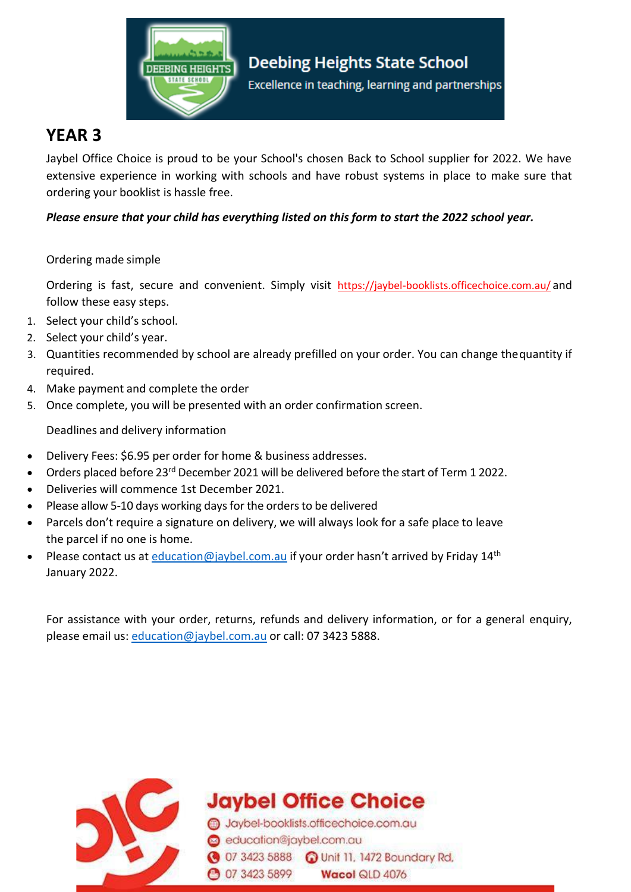

# **YEAR 3**

Jaybel Office Choice is proud to be your School's chosen Back to School supplier for 2022. We have extensive experience in working with schools and have robust systems in place to make sure that ordering your booklist is hassle free.

### *Please ensure that your child has everything listed on this form to start the 2022 school year.*

#### Ordering made simple

Ordering is fast, secure and convenient. Simply visit https://jaybel-booklists.officechoice.com.au/ and follow these easy steps.

- 1. Select your child's school.
- 2. Select your child's year.
- 3. Quantities recommended by school are already prefilled on your order. You can change thequantity if required.
- 4. Make payment and complete the order
- 5. Once complete, you will be presented with an order confirmation screen.

Deadlines and delivery information

- Delivery Fees: \$6.95 per order for home & business addresses.
- Orders placed before 23<sup>rd</sup> December 2021 will be delivered before the start of Term 1 2022.
- Deliveries will commence 1st December 2021.
- Please allow 5-10 days working days for the orders to be delivered
- Parcels don't require a signature on delivery, we will always look for a safe place to leave the parcel if no one is home.
- Please contact us at [education@jaybel.com.au](mailto:education@jaybel.com.au) if your order hasn't arrived by Friday  $14<sup>th</sup>$ January 2022.

For assistance with your order, returns, refunds and delivery information, or for a general enquiry, please email us: [education@jaybel.com.au](mailto:education@jaybel.com.au) or call: 07 3423 5888.



**Jaybel Office Choice** 

Jaybel-booklists.officechoice.com.au education@jaybel.com.au 3423 5888 a Unit 11, 1472 Boundary Rd, **3423 5899** Wacol QLD 4076